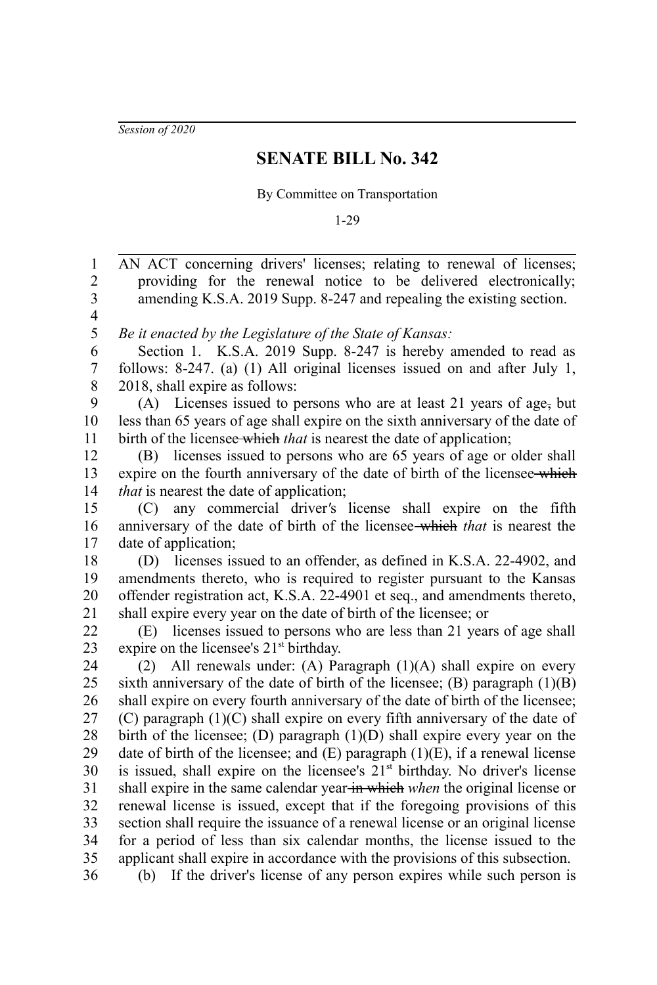*Session of 2020*

## **SENATE BILL No. 342**

By Committee on Transportation

1-29

AN ACT concerning drivers' licenses; relating to renewal of licenses; providing for the renewal notice to be delivered electronically; amending K.S.A. 2019 Supp. 8-247 and repealing the existing section. *Be it enacted by the Legislature of the State of Kansas:* Section 1. K.S.A. 2019 Supp. 8-247 is hereby amended to read as follows: 8-247. (a) (1) All original licenses issued on and after July 1, 2018, shall expire as follows: (A) Licenses issued to persons who are at least 21 years of age, but less than 65 years of age shall expire on the sixth anniversary of the date of birth of the licensee which *that* is nearest the date of application; (B) licenses issued to persons who are 65 years of age or older shall expire on the fourth anniversary of the date of birth of the licensee-which *that* is nearest the date of application; (C) any commercial driver*'*s license shall expire on the fifth anniversary of the date of birth of the licensee which *that* is nearest the date of application; (D) licenses issued to an offender, as defined in K.S.A. 22-4902, and amendments thereto, who is required to register pursuant to the Kansas offender registration act, K.S.A. 22-4901 et seq., and amendments thereto, shall expire every year on the date of birth of the licensee; or (E) licenses issued to persons who are less than 21 years of age shall expire on the licensee's  $21<sup>st</sup>$  birthday. (2) All renewals under: (A) Paragraph (1)(A) shall expire on every sixth anniversary of the date of birth of the licensee;  $(B)$  paragraph  $(1)(B)$ shall expire on every fourth anniversary of the date of birth of the licensee; (C) paragraph (1)(C) shall expire on every fifth anniversary of the date of birth of the licensee; (D) paragraph (1)(D) shall expire every year on the date of birth of the licensee; and  $(E)$  paragraph  $(1)(E)$ , if a renewal license is issued, shall expire on the licensee's  $21<sup>st</sup>$  birthday. No driver's license shall expire in the same calendar year in which *when* the original license or renewal license is issued, except that if the foregoing provisions of this section shall require the issuance of a renewal license or an original license for a period of less than six calendar months, the license issued to the applicant shall expire in accordance with the provisions of this subsection. (b) If the driver's license of any person expires while such person is 1 2 3 4 5 6 7 8 9 10 11 12 13 14 15 16 17 18 19 20 21 22 23 24 25 26 27 28 29 30 31 32 33 34 35 36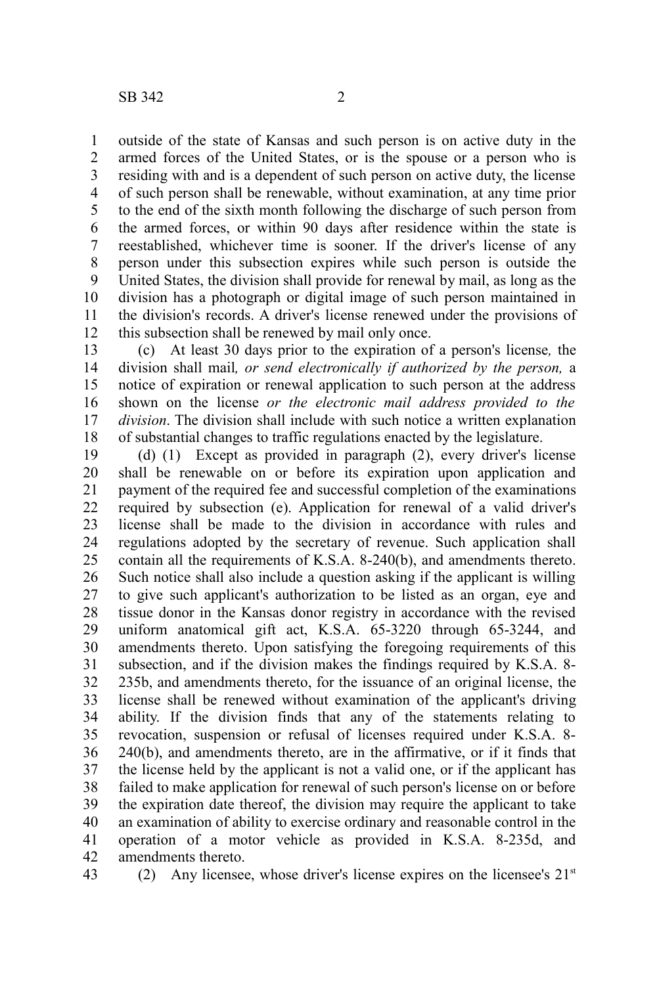outside of the state of Kansas and such person is on active duty in the armed forces of the United States, or is the spouse or a person who is residing with and is a dependent of such person on active duty, the license of such person shall be renewable, without examination, at any time prior to the end of the sixth month following the discharge of such person from the armed forces, or within 90 days after residence within the state is reestablished, whichever time is sooner. If the driver's license of any person under this subsection expires while such person is outside the United States, the division shall provide for renewal by mail, as long as the division has a photograph or digital image of such person maintained in the division's records. A driver's license renewed under the provisions of this subsection shall be renewed by mail only once. 1 2 3 4 5 6 7 8 9 10 11 12

(c) At least 30 days prior to the expiration of a person's license*,* the division shall mail*, or send electronically if authorized by the person,* a notice of expiration or renewal application to such person at the address shown on the license *or the electronic mail address provided to the division*. The division shall include with such notice a written explanation of substantial changes to traffic regulations enacted by the legislature. 13 14 15 16 17 18

(d) (1) Except as provided in paragraph (2), every driver's license shall be renewable on or before its expiration upon application and payment of the required fee and successful completion of the examinations required by subsection (e). Application for renewal of a valid driver's license shall be made to the division in accordance with rules and regulations adopted by the secretary of revenue. Such application shall contain all the requirements of K.S.A. 8-240(b), and amendments thereto. Such notice shall also include a question asking if the applicant is willing to give such applicant's authorization to be listed as an organ, eye and tissue donor in the Kansas donor registry in accordance with the revised uniform anatomical gift act, K.S.A. 65-3220 through 65-3244, and amendments thereto. Upon satisfying the foregoing requirements of this subsection, and if the division makes the findings required by K.S.A. 8- 235b, and amendments thereto, for the issuance of an original license, the license shall be renewed without examination of the applicant's driving ability. If the division finds that any of the statements relating to revocation, suspension or refusal of licenses required under K.S.A. 8- 240(b), and amendments thereto, are in the affirmative, or if it finds that the license held by the applicant is not a valid one, or if the applicant has failed to make application for renewal of such person's license on or before the expiration date thereof, the division may require the applicant to take an examination of ability to exercise ordinary and reasonable control in the operation of a motor vehicle as provided in K.S.A. 8-235d, and amendments thereto. 19 20 21 22 23 24 25 26 27 28 29 30 31 32 33 34 35 36 37 38 39 40 41 42

43

(2) Any licensee, whose driver's license expires on the licensee's  $21<sup>st</sup>$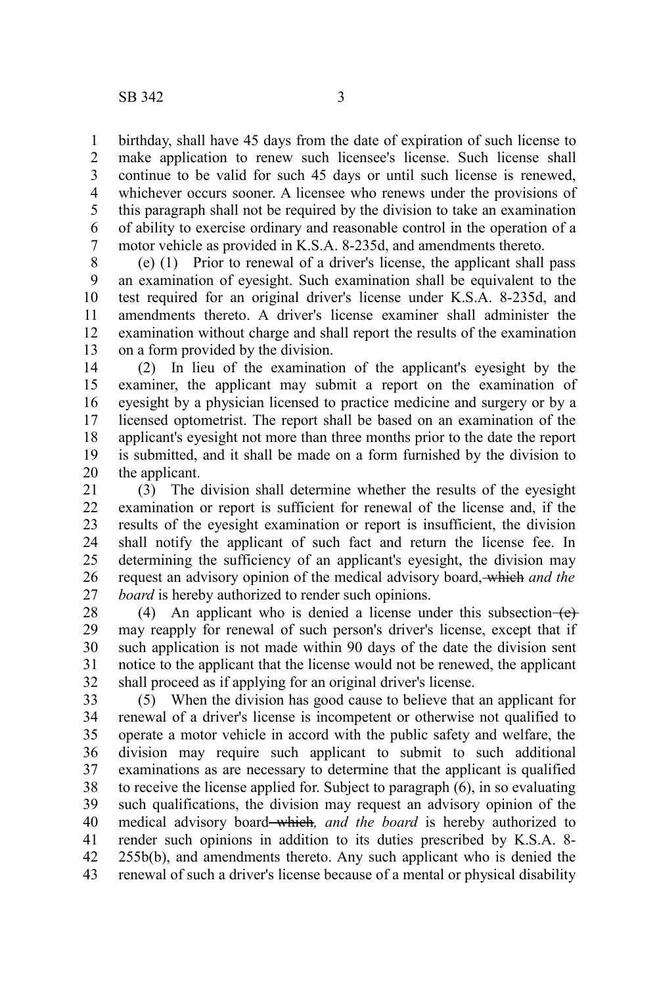birthday, shall have 45 days from the date of expiration of such license to make application to renew such licensee's license. Such license shall continue to be valid for such 45 days or until such license is renewed, whichever occurs sooner. A licensee who renews under the provisions of this paragraph shall not be required by the division to take an examination of ability to exercise ordinary and reasonable control in the operation of a motor vehicle as provided in K.S.A. 8-235d, and amendments thereto. 1 2 3 4 5 6 7

(e) (1) Prior to renewal of a driver's license, the applicant shall pass an examination of eyesight. Such examination shall be equivalent to the test required for an original driver's license under K.S.A. 8-235d, and amendments thereto. A driver's license examiner shall administer the examination without charge and shall report the results of the examination on a form provided by the division. 8 9 10 11 12 13

(2) In lieu of the examination of the applicant's eyesight by the examiner, the applicant may submit a report on the examination of eyesight by a physician licensed to practice medicine and surgery or by a licensed optometrist. The report shall be based on an examination of the applicant's eyesight not more than three months prior to the date the report is submitted, and it shall be made on a form furnished by the division to the applicant. 14 15 16 17 18 19 20

(3) The division shall determine whether the results of the eyesight examination or report is sufficient for renewal of the license and, if the results of the eyesight examination or report is insufficient, the division shall notify the applicant of such fact and return the license fee. In determining the sufficiency of an applicant's eyesight, the division may request an advisory opinion of the medical advisory board, which *and the board* is hereby authorized to render such opinions. 21 22 23 24 25 26 27

(4) An applicant who is denied a license under this subsection  $\left\{ \right.$   $\left\{ \right\}$ may reapply for renewal of such person's driver's license, except that if such application is not made within 90 days of the date the division sent notice to the applicant that the license would not be renewed, the applicant shall proceed as if applying for an original driver's license. 28 29 30 31 32

(5) When the division has good cause to believe that an applicant for renewal of a driver's license is incompetent or otherwise not qualified to operate a motor vehicle in accord with the public safety and welfare, the division may require such applicant to submit to such additional examinations as are necessary to determine that the applicant is qualified to receive the license applied for. Subject to paragraph (6), in so evaluating such qualifications, the division may request an advisory opinion of the medical advisory board which*, and the board* is hereby authorized to render such opinions in addition to its duties prescribed by K.S.A. 8- 255b(b), and amendments thereto. Any such applicant who is denied the renewal of such a driver's license because of a mental or physical disability 33 34 35 36 37 38 39 40 41 42 43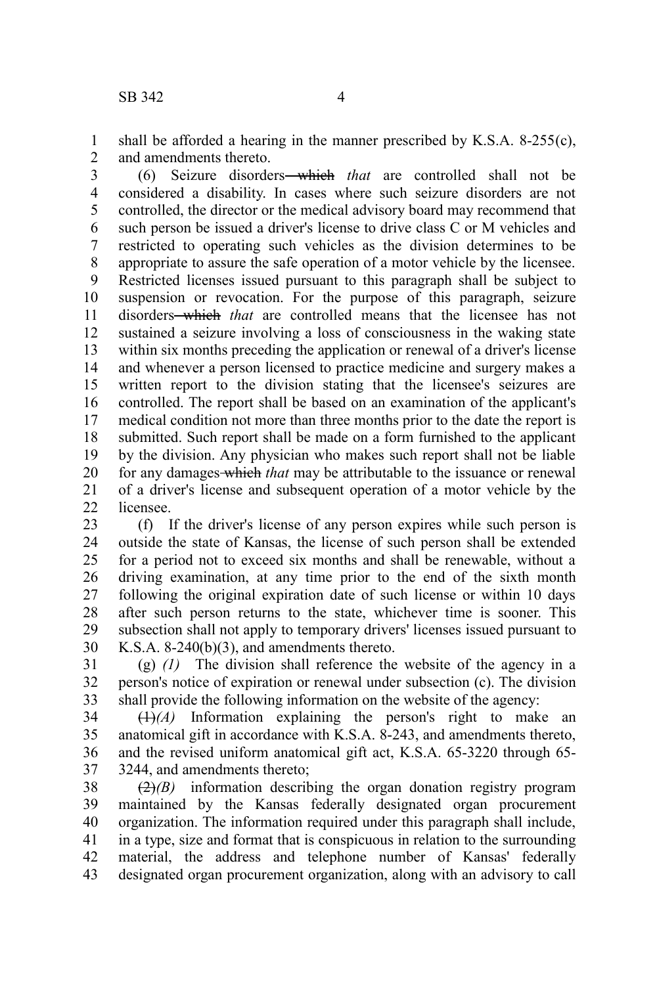shall be afforded a hearing in the manner prescribed by K.S.A. 8-255(c), and amendments thereto. 1 2

(6) Seizure disorders which *that* are controlled shall not be considered a disability. In cases where such seizure disorders are not controlled, the director or the medical advisory board may recommend that such person be issued a driver's license to drive class C or M vehicles and restricted to operating such vehicles as the division determines to be appropriate to assure the safe operation of a motor vehicle by the licensee. Restricted licenses issued pursuant to this paragraph shall be subject to suspension or revocation. For the purpose of this paragraph, seizure disorders<del> which</del> that are controlled means that the licensee has not sustained a seizure involving a loss of consciousness in the waking state within six months preceding the application or renewal of a driver's license and whenever a person licensed to practice medicine and surgery makes a written report to the division stating that the licensee's seizures are controlled. The report shall be based on an examination of the applicant's medical condition not more than three months prior to the date the report is submitted. Such report shall be made on a form furnished to the applicant by the division. Any physician who makes such report shall not be liable for any damages which *that* may be attributable to the issuance or renewal of a driver's license and subsequent operation of a motor vehicle by the licensee. 3 4 5 6 7 8 9 10 11 12 13 14 15 16 17 18 19 20 21  $22$ 

(f) If the driver's license of any person expires while such person is outside the state of Kansas, the license of such person shall be extended for a period not to exceed six months and shall be renewable, without a driving examination, at any time prior to the end of the sixth month following the original expiration date of such license or within 10 days after such person returns to the state, whichever time is sooner. This subsection shall not apply to temporary drivers' licenses issued pursuant to K.S.A. 8-240(b)(3), and amendments thereto. 23 24 25 26 27 28 29 30

(g) *(1)* The division shall reference the website of the agency in a person's notice of expiration or renewal under subsection (c). The division shall provide the following information on the website of the agency: 31 32 33

 $(1)$ <sup>(A)</sup> Information explaining the person's right to make an anatomical gift in accordance with K.S.A. 8-243, and amendments thereto, and the revised uniform anatomical gift act, K.S.A. 65-3220 through 65- 3244, and amendments thereto; 34 35 36 37

(2)*(B)* information describing the organ donation registry program maintained by the Kansas federally designated organ procurement organization. The information required under this paragraph shall include, in a type, size and format that is conspicuous in relation to the surrounding material, the address and telephone number of Kansas' federally designated organ procurement organization, along with an advisory to call 38 39 40 41 42 43